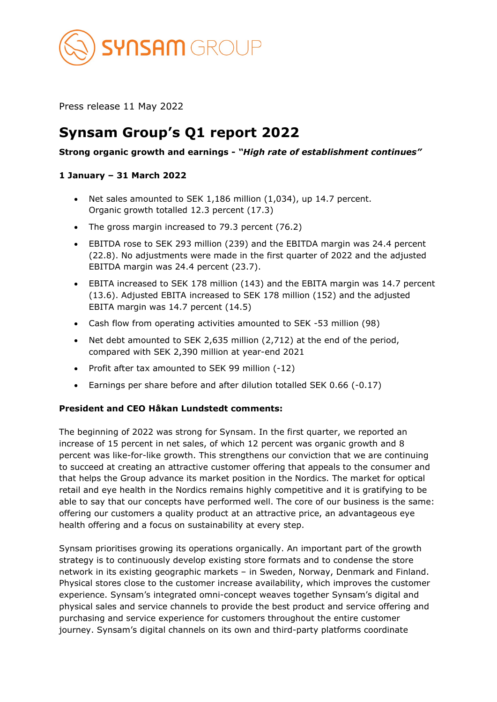

Press release 11 May 2022

# **Synsam Group's Q1 report 2022**

## **Strong organic growth and earnings -** *"High rate of establishment continues"*

## **1 January – 31 March 2022**

- Net sales amounted to SEK 1,186 million (1,034), up 14.7 percent. Organic growth totalled 12.3 percent (17.3)
- The gross margin increased to 79.3 percent (76.2)
- EBITDA rose to SEK 293 million (239) and the EBITDA margin was 24.4 percent (22.8). No adjustments were made in the first quarter of 2022 and the adjusted EBITDA margin was 24.4 percent (23.7).
- EBITA increased to SEK 178 million (143) and the EBITA margin was 14.7 percent (13.6). Adjusted EBITA increased to SEK 178 million (152) and the adjusted EBITA margin was 14.7 percent (14.5)
- Cash flow from operating activities amounted to SEK -53 million (98)
- Net debt amounted to SEK 2,635 million (2,712) at the end of the period, compared with SEK 2,390 million at year-end 2021
- Profit after tax amounted to SEK 99 million (-12)
- Earnings per share before and after dilution totalled SEK 0.66 (-0.17)

## **President and CEO Håkan Lundstedt comments:**

The beginning of 2022 was strong for Synsam. In the first quarter, we reported an increase of 15 percent in net sales, of which 12 percent was organic growth and 8 percent was like-for-like growth. This strengthens our conviction that we are continuing to succeed at creating an attractive customer offering that appeals to the consumer and that helps the Group advance its market position in the Nordics. The market for optical retail and eye health in the Nordics remains highly competitive and it is gratifying to be able to say that our concepts have performed well. The core of our business is the same: offering our customers a quality product at an attractive price, an advantageous eye health offering and a focus on sustainability at every step.

Synsam prioritises growing its operations organically. An important part of the growth strategy is to continuously develop existing store formats and to condense the store network in its existing geographic markets – in Sweden, Norway, Denmark and Finland. Physical stores close to the customer increase availability, which improves the customer experience. Synsam's integrated omni-concept weaves together Synsam's digital and physical sales and service channels to provide the best product and service offering and purchasing and service experience for customers throughout the entire customer journey. Synsam's digital channels on its own and third-party platforms coordinate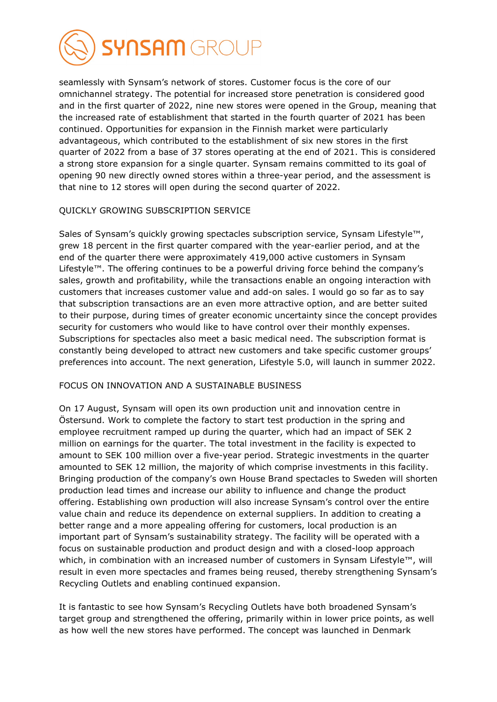

seamlessly with Synsam's network of stores. Customer focus is the core of our omnichannel strategy. The potential for increased store penetration is considered good and in the first quarter of 2022, nine new stores were opened in the Group, meaning that the increased rate of establishment that started in the fourth quarter of 2021 has been continued. Opportunities for expansion in the Finnish market were particularly advantageous, which contributed to the establishment of six new stores in the first quarter of 2022 from a base of 37 stores operating at the end of 2021. This is considered a strong store expansion for a single quarter. Synsam remains committed to its goal of opening 90 new directly owned stores within a three-year period, and the assessment is that nine to 12 stores will open during the second quarter of 2022.

### QUICKLY GROWING SUBSCRIPTION SERVICE

Sales of Synsam's quickly growing spectacles subscription service, Synsam Lifestyle™, grew 18 percent in the first quarter compared with the year-earlier period, and at the end of the quarter there were approximately 419,000 active customers in Synsam Lifestyle™. The offering continues to be a powerful driving force behind the company's sales, growth and profitability, while the transactions enable an ongoing interaction with customers that increases customer value and add-on sales. I would go so far as to say that subscription transactions are an even more attractive option, and are better suited to their purpose, during times of greater economic uncertainty since the concept provides security for customers who would like to have control over their monthly expenses. Subscriptions for spectacles also meet a basic medical need. The subscription format is constantly being developed to attract new customers and take specific customer groups' preferences into account. The next generation, Lifestyle 5.0, will launch in summer 2022.

#### FOCUS ON INNOVATION AND A SUSTAINABLE BUSINESS

On 17 August, Synsam will open its own production unit and innovation centre in Östersund. Work to complete the factory to start test production in the spring and employee recruitment ramped up during the quarter, which had an impact of SEK 2 million on earnings for the quarter. The total investment in the facility is expected to amount to SEK 100 million over a five-year period. Strategic investments in the quarter amounted to SEK 12 million, the majority of which comprise investments in this facility. Bringing production of the company's own House Brand spectacles to Sweden will shorten production lead times and increase our ability to influence and change the product offering. Establishing own production will also increase Synsam's control over the entire value chain and reduce its dependence on external suppliers. In addition to creating a better range and a more appealing offering for customers, local production is an important part of Synsam's sustainability strategy. The facility will be operated with a focus on sustainable production and product design and with a closed-loop approach which, in combination with an increased number of customers in Synsam Lifestyle™, will result in even more spectacles and frames being reused, thereby strengthening Synsam's Recycling Outlets and enabling continued expansion.

It is fantastic to see how Synsam's Recycling Outlets have both broadened Synsam's target group and strengthened the offering, primarily within in lower price points, as well as how well the new stores have performed. The concept was launched in Denmark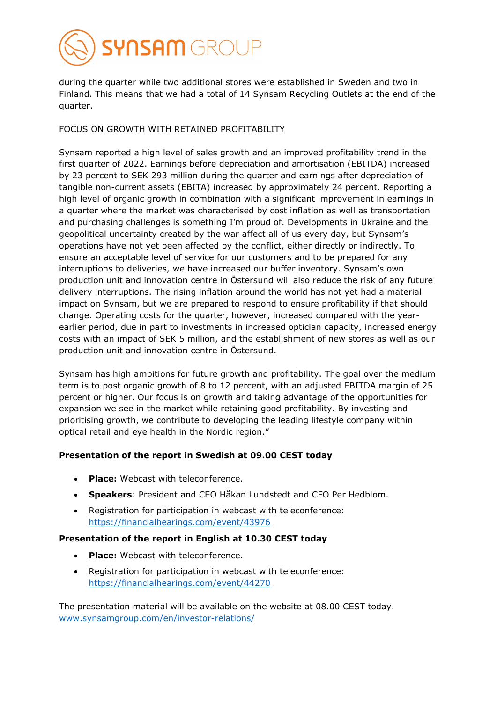

during the quarter while two additional stores were established in Sweden and two in Finland. This means that we had a total of 14 Synsam Recycling Outlets at the end of the quarter.

## FOCUS ON GROWTH WITH RETAINED PROFITABILITY

Synsam reported a high level of sales growth and an improved profitability trend in the first quarter of 2022. Earnings before depreciation and amortisation (EBITDA) increased by 23 percent to SEK 293 million during the quarter and earnings after depreciation of tangible non-current assets (EBITA) increased by approximately 24 percent. Reporting a high level of organic growth in combination with a significant improvement in earnings in a quarter where the market was characterised by cost inflation as well as transportation and purchasing challenges is something I'm proud of. Developments in Ukraine and the geopolitical uncertainty created by the war affect all of us every day, but Synsam's operations have not yet been affected by the conflict, either directly or indirectly. To ensure an acceptable level of service for our customers and to be prepared for any interruptions to deliveries, we have increased our buffer inventory. Synsam's own production unit and innovation centre in Östersund will also reduce the risk of any future delivery interruptions. The rising inflation around the world has not yet had a material impact on Synsam, but we are prepared to respond to ensure profitability if that should change. Operating costs for the quarter, however, increased compared with the yearearlier period, due in part to investments in increased optician capacity, increased energy costs with an impact of SEK 5 million, and the establishment of new stores as well as our production unit and innovation centre in Östersund.

Synsam has high ambitions for future growth and profitability. The goal over the medium term is to post organic growth of 8 to 12 percent, with an adjusted EBITDA margin of 25 percent or higher. Our focus is on growth and taking advantage of the opportunities for expansion we see in the market while retaining good profitability. By investing and prioritising growth, we contribute to developing the leading lifestyle company within optical retail and eye health in the Nordic region."

## **Presentation of the report in Swedish at 09.00 CEST today**

- **Place:** Webcast with teleconference.
- **Speakers**: President and CEO Håkan Lundstedt and CFO Per Hedblom.
- Registration for participation in webcast with teleconference: <https://financialhearings.com/event/43976>

## **Presentation of the report in English at 10.30 CEST today**

- **Place:** Webcast with teleconference.
- Registration for participation in webcast with teleconference: <https://financialhearings.com/event/44270>

The presentation material will be available on the website at 08.00 CEST today. [www.synsamgroup.com/en/investor-relations/](http://www.synsamgroup.com/en/investor-relations/)